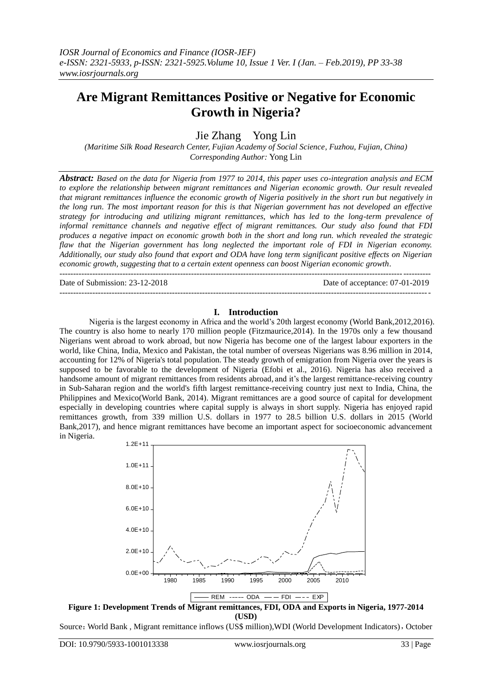# **Are Migrant Remittances Positive or Negative for Economic Growth in Nigeria?**

Jie Zhang Yong Lin

*(Maritime Silk Road Research Center, Fujian Academy of Social Science, Fuzhou, Fujian, China) Corresponding Author:* Yong Lin

*Abstract: Based on the data for Nigeria from 1977 to 2014, this paper uses co-integration analysis and ECM to explore the relationship between migrant remittances and Nigerian economic growth. Our result revealed that migrant remittances influence the economic growth of Nigeria positively in the short run but negatively in the long run. The most important reason for this is that Nigerian government has not developed an effective strategy for introducing and utilizing migrant remittances, which has led to the long-term prevalence of informal remittance channels and negative effect of migrant remittances. Our study also found that FDI produces a negative impact on economic growth both in the short and long run. which revealed the strategic flaw that the Nigerian government has long neglected the important role of FDI in Nigerian economy. Additionally, our study also found that export and ODA have long term significant positive effects on Nigerian economic growth, suggesting that to a certain extent openness can boost Nigerian economic growth.*  ---------------------------------------------------------------------------------------------------------------------------------------

Date of Submission: 23-12-2018 Date of acceptance: 07-01-2019

---------------------------------------------------------------------------------------------------------------------------------------

**I. Introduction** Nigeria is the largest economy in Africa and the world's 20th largest economy (World Bank,2012,2016). The country is also home to nearly 170 million people (Fitzmaurice,2014). In the 1970s only a few thousand Nigerians went abroad to work abroad, but now Nigeria has become one of the largest labour exporters in the world, like China, India, Mexico and Pakistan, the total number of overseas Nigerians was 8.96 million in 2014, accounting for 12% of Nigeria's total population. The steady growth of emigration from Nigeria over the years is supposed to be favorable to the development of Nigeria (Efobi et al., 2016). Nigeria has also received a handsome amount of migrant remittances from residents abroad, and it's the largest remittance-receiving country in Sub-Saharan region and the world's fifth largest remittance-receiving country just next to India, China, the Philippines and Mexico(World Bank, 2014). Migrant remittances are a good source of capital for development especially in developing countries where capital supply is always in short supply. Nigeria has enjoyed rapid remittances growth, from 339 million U.S. dollars in 1977 to 28.5 billion U.S. dollars in 2015 (World Bank,2017), and hence migrant remittances have become an important aspect for socioeconomic advancement in Nigeria.



**(USD)**

Source: World Bank, Migrant remittance inflows (US\$ million), WDI (World Development Indicators), October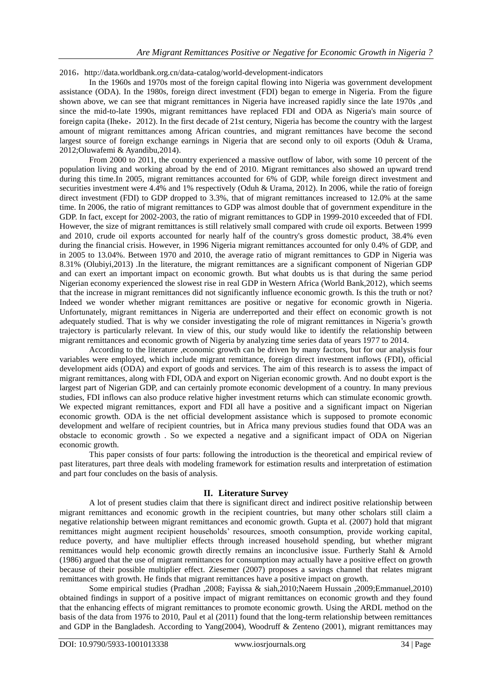2016, http://data.worldbank.org.cn/data-catalog/world-development-indicators

In the 1960s and 1970s most of the foreign capital flowing into Nigeria was government development assistance (ODA). In the 1980s, foreign direct investment (FDI) began to emerge in Nigeria. From the figure shown above, we can see that migrant remittances in Nigeria have increased rapidly since the late 1970s ,and since the mid-to-late 1990s, migrant remittances have replaced FDI and ODA as Nigeria's main source of foreign capita (Iheke, 2012). In the first decade of 21st century, Nigeria has become the country with the largest amount of migrant remittances among African countries, and migrant remittances have become the second largest source of foreign exchange earnings in Nigeria that are second only to oil exports (Oduh & Urama, 2012;Oluwafemi & Ayandibu,2014).

From 2000 to 2011, the country experienced a massive outflow of labor, with some 10 percent of the population living and working abroad by the end of 2010. Migrant remittances also showed an upward trend during this time.In 2005, migrant remittances accounted for 6% of GDP, while foreign direct investment and securities investment were 4.4% and 1% respectively (Oduh & Urama, 2012). In 2006, while the ratio of foreign direct investment (FDI) to GDP dropped to 3.3%, that of migrant remittances increased to 12.0% at the same time. In 2006, the ratio of migrant remittances to GDP was almost double that of government expenditure in the GDP. In fact, except for 2002-2003, the ratio of migrant remittances to GDP in 1999-2010 exceeded that of FDI. However, the size of migrant remittances is still relatively small compared with crude oil exports. Between 1999 and 2010, crude oil exports accounted for nearly half of the country's gross domestic product, 38.4% even during the financial crisis. However, in 1996 Nigeria migrant remittances accounted for only 0.4% of GDP, and in 2005 to 13.04%. Between 1970 and 2010, the average ratio of migrant remittances to GDP in Nigeria was 8.31% (Olubiyi,2013) .In the literature, the migrant remittances are a significant component of Nigerian GDP and can exert an important impact on economic growth. But what doubts us is that during the same period Nigerian economy experienced the slowest rise in real GDP in Western Africa (World Bank,2012), which seems that the increase in migrant remittances did not significantly influence economic growth. Is this the truth or not? Indeed we wonder whether migrant remittances are positive or negative for economic growth in Nigeria. Unfortunately, migrant remittances in Nigeria are underreported and their effect on economic growth is not adequately studied. That is why we consider investigating the role of migrant remittances in Nigeria's growth trajectory is particularly relevant. In view of this, our study would like to identify the relationship between migrant remittances and economic growth of Nigeria by analyzing time series data of years 1977 to 2014.

According to the literature ,economic growth can be driven by many factors, but for our analysis four variables were employed, which include migrant remittance, foreign direct investment inflows (FDI), official development aids (ODA) and export of goods and services. The aim of this research is to assess the impact of migrant remittances, along with FDI, ODA and export on Nigerian economic growth. And no doubt export is the largest part of Nigerian GDP, and can certainly promote economic development of a country. In many previous studies, FDI inflows can also produce relative higher investment returns which can stimulate economic growth. We expected migrant remittances, export and FDI all have a positive and a significant impact on Nigerian economic growth. ODA is the net official development assistance which is supposed to promote economic development and welfare of recipient countries, but in Africa many previous studies found that ODA was an obstacle to economic growth . So we expected a negative and a significant impact of ODA on Nigerian economic growth.

This paper consists of four parts: following the introduction is the theoretical and empirical review of past literatures, part three deals with modeling framework for estimation results and interpretation of estimation and part four concludes on the basis of analysis.

## **II. Literature Survey**

A lot of present studies claim that there is significant direct and indirect positive relationship between migrant remittances and economic growth in the recipient countries, but many other scholars still claim a negative relationship between migrant remittances and economic growth. Gupta et al. (2007) hold that migrant remittances might augment recipient households' resources, smooth consumption, provide working capital, reduce poverty, and have multiplier effects through increased household spending, but whether migrant remittances would help economic growth directly remains an inconclusive issue. Furtherly Stahl & Arnold (1986) argued that the use of migrant remittances for consumption may actually have a positive effect on growth because of their possible multiplier effect. Ziesemer (2007) proposes a savings channel that relates migrant remittances with growth. He finds that migrant remittances have a positive impact on growth.

Some empirical studies (Pradhan ,2008; Fayissa & siah,2010;Naeem Hussain ,2009;Emmanuel,2010) obtained findings in support of a positive impact of migrant remittances on economic growth and they found that the enhancing effects of migrant remittances to promote economic growth. Using the ARDL method on the basis of the data from 1976 to 2010, Paul et al (2011) found that the long-term relationship between remittances and GDP in the Bangladesh. According to Yang(2004), Woodruff & Zenteno (2001), migrant remittances may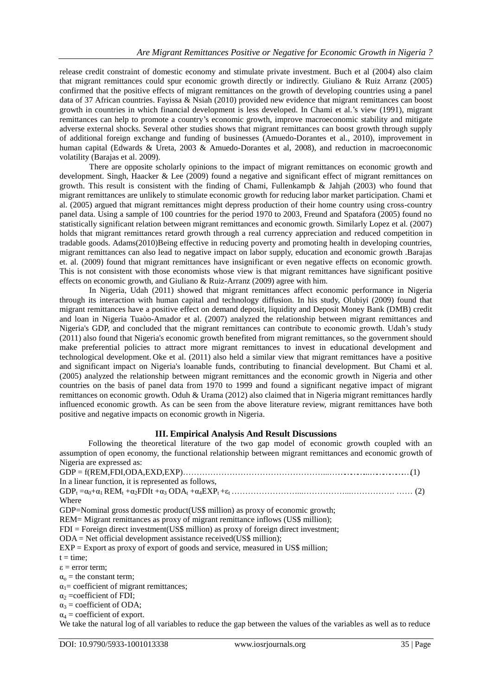release credit constraint of domestic economy and stimulate private investment. Buch et al (2004) also claim that migrant remittances could spur economic growth directly or indirectly. Giuliano & Ruiz Arranz (2005) confirmed that the positive effects of migrant remittances on the growth of developing countries using a panel data of 37 African countries. Fayissa & Nsiah (2010) provided new evidence that migrant remittances can boost growth in countries in which financial development is less developed. In Chami et al.'s view (1991), migrant remittances can help to promote a country's economic growth, improve macroeconomic stability and mitigate adverse external shocks. Several other studies shows that migrant remittances can boost growth through supply of additional foreign exchange and funding of businesses (Amuedo-Dorantes et al., 2010), improvement in human capital (Edwards & Ureta, 2003 & Amuedo-Dorantes et al, 2008), and reduction in macroeconomic volatility (Barajas et al. 2009).

There are opposite scholarly opinions to the impact of migrant remittances on economic growth and development. Singh, Haacker & Lee (2009) found a negative and significant effect of migrant remittances on growth. This result is consistent with the finding of Chami, Fullenkampb & Jahjah (2003) who found that migrant remittances are unlikely to stimulate economic growth for reducing labor market participation. Chami et al. (2005) argued that migrant remittances might depress production of their home country using cross-country panel data. Using a sample of 100 countries for the period 1970 to 2003, Freund and Spatafora (2005) found no statistically significant relation between migrant remittances and economic growth. Similarly Lopez et al. (2007) holds that migrant remittances retard growth through a real currency appreciation and reduced competition in tradable goods. Adams(2010)Being effective in reducing poverty and promoting health in developing countries, migrant remittances can also lead to negative impact on labor supply, education and economic growth .Barajas et. al. (2009) found that migrant remittances have insignificant or even negative effects on economic growth. This is not consistent with those economists whose view is that migrant remittances have significant positive effects on economic growth, and Giuliano & Ruiz-Arranz (2009) agree with him.

In Nigeria, Udah (2011) showed that migrant remittances affect economic performance in Nigeria through its interaction with human capital and technology diffusion. In his study, Olubiyi (2009) found that migrant remittances have a positive effect on demand deposit, liquidity and Deposit Money Bank (DMB) credit and loan in Nigeria Tuaòo-Amador et al. (2007) analyzed the relationship between migrant remittances and Nigeria's GDP, and concluded that the migrant remittances can contribute to economic growth. Udah's study (2011) also found that Nigeria's economic growth benefited from migrant remittances, so the government should make preferential policies to attract more migrant remittances to invest in educational development and technological development. Oke et al. (2011) also held a similar view that migrant remittances have a positive and significant impact on Nigeria's loanable funds, contributing to financial development. But Chami et al. (2005) analyzed the relationship between migrant remittances and the economic growth in Nigeria and other countries on the basis of panel data from 1970 to 1999 and found a significant negative impact of migrant remittances on economic growth. Oduh & Urama (2012) also claimed that in Nigeria migrant remittances hardly influenced economic growth. As can be seen from the above literature review, migrant remittances have both positive and negative impacts on economic growth in Nigeria.

### **III. Empirical Analysis And Result Discussions**

Following the theoretical literature of the two gap model of economic growth coupled with an assumption of open economy, the functional relationship between migrant remittances and economic growth of Nigeria are expressed as: GDP = f(REM,FDI,ODA,EXD,EXP)……………………………………………...……………...…………….…(1) In a linear function, it is represented as follows, GDP<sup>t</sup> =α0+α<sup>1</sup> REM<sup>t</sup> +α2FDIt +α<sup>3</sup> ODA<sup>t</sup> +α4EXPt +εt ……………………...……………...……………. …… (2) Where GDP=Nominal gross domestic product(US\$ million) as proxy of economic growth; REM= Migrant remittances as proxy of migrant remittance inflows (US\$ million); FDI = Foreign direct investment(US\$ million) as proxy of foreign direct investment; ODA = Net official development assistance received(US\$ million); EXP = Export as proxy of export of goods and service, measured in US\$ million;  $t = time$ : ε = error term;  $\alpha_{o}$  = the constant term;  $\alpha_1$ = coefficient of migrant remittances;  $\alpha_2$  =coefficient of FDI;  $\alpha_3$  = coefficient of ODA;  $\alpha_4$  = coefficient of export. We take the natural log of all variables to reduce the gap between the values of the variables as well as to reduce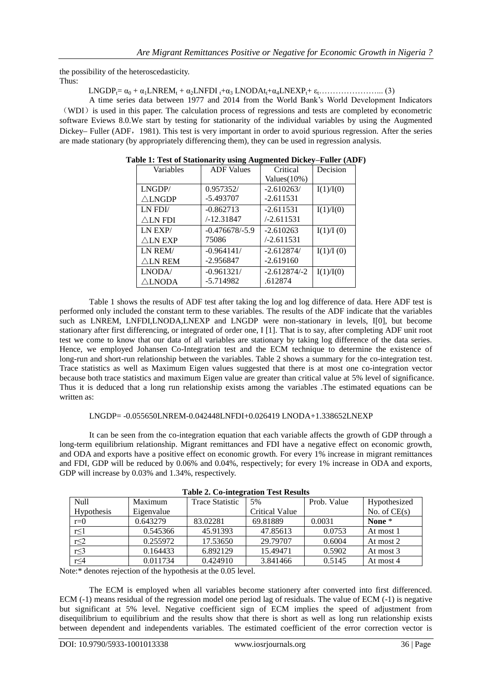the possibility of the heteroscedasticity. Thus:

LNGDPt= α<sup>0</sup> + α1LNREM<sup>t</sup> + α2LNFDI <sup>t</sup>+α<sup>3</sup> LNODAtt+α4LNEXPt+ εt…………………... (3)

A time series data between 1977 and 2014 from the World Bank's World Development Indicators (WDI) is used in this paper. The calculation process of regressions and tests are completed by econometric software Eviews 8.0.We start by testing for stationarity of the individual variables by using the Augmented Dickey– Fuller (ADF, 1981). This test is very important in order to avoid spurious regression. After the series are made stationary (by appropriately differencing them), they can be used in regression analysis.

| Variables          | <b>ADF</b> Values | Critical       | Decision  |
|--------------------|-------------------|----------------|-----------|
|                    |                   | $Values(10\%)$ |           |
| LNGDP/             | 0.957352/         | $-2.610263/$   | I(1)/I(0) |
| $\triangle$ LNGDP  | $-5.493707$       | $-2.611531$    |           |
| LN FDI/            | $-0.862713$       | $-2.611531$    | I(1)/I(0) |
| $\triangle$ LN FDI | /-12.31847        | $-2.611531$    |           |
| LN EXP/            | $-0.476678/-5.9$  | $-2.610263$    | I(1)/I(0) |
| $\triangle$ LN EXP | 75086             | $-2.611531$    |           |
| LN REM/            | $-0.964141/$      | $-2.612874/$   | I(1)/I(0) |
| $\triangle$ ln Rem | $-2.956847$       | $-2.619160$    |           |
| LNODA/             | $-0.961321/$      | $-2.612874/-2$ | I(1)/I(0) |
| $\triangle$ LNODA  | $-5.714982$       | .612874        |           |

**Table 1: Test of Stationarity using Augmented Dickey–Fuller (ADF)**

Table 1 shows the results of ADF test after taking the log and log difference of data. Here ADF test is performed only included the constant term to these variables. The results of the ADF indicate that the variables such as LNREM, LNFDI,LNODA,LNEXP and LNGDP were non-stationary in levels, I[0], but become stationary after first differencing, or integrated of order one, I [1]. That is to say, after completing ADF unit root test we come to know that our data of all variables are stationary by taking log difference of the data series. Hence, we employed Johansen Co-Integration test and the ECM technique to determine the existence of long-run and short-run relationship between the variables. Table 2 shows a summary for the co-integration test. Trace statistics as well as Maximum Eigen values suggested that there is at most one co-integration vector because both trace statistics and maximum Eigen value are greater than critical value at 5% level of significance. Thus it is deduced that a long run relationship exists among the variables .The estimated equations can be written as:

### LNGDP= -0.055650LNREM-0.042448LNFDI+0.026419 LNODA+1.338652LNEXP

It can be seen from the co-integration equation that each variable affects the growth of GDP through a long-term equilibrium relationship. Migrant remittances and FDI have a negative effect on economic growth, and ODA and exports have a positive effect on economic growth. For every 1% increase in migrant remittances and FDI, GDP will be reduced by 0.06% and 0.04%, respectively; for every 1% increase in ODA and exports, GDP will increase by 0.03% and 1.34%, respectively.

| Table 2. Co-mitteration Test Results |            |                        |                |             |                |  |
|--------------------------------------|------------|------------------------|----------------|-------------|----------------|--|
| <b>Null</b>                          | Maximum    | <b>Trace Statistic</b> | 5%             | Prob. Value | Hypothesized   |  |
| Hypothesis                           | Eigenvalue |                        | Critical Value |             | No. of $CE(s)$ |  |
| $r=0$                                | 0.643279   | 83.02281               | 69.81889       | 0.0031      | None $*$       |  |
| $r \leq 1$                           | 0.545366   | 45.91393               | 47.85613       | 0.0753      | At most 1      |  |
| $r \leq 2$                           | 0.255972   | 17.53650               | 29.79707       | 0.6004      | At most 2      |  |
| $r \leq 3$                           | 0.164433   | 6.892129               | 15.49471       | 0.5902      | At most 3      |  |
| r<4                                  | 0.011734   | 0.424910               | 3.841466       | 0.5145      | At most 4      |  |

|  | <b>Table 2. Co-integration Test Results</b> |  |
|--|---------------------------------------------|--|
|  |                                             |  |

Note:\* denotes rejection of the hypothesis at the 0.05 level.

The ECM is employed when all variables become stationery after converted into first differenced. ECM (-1) means residual of the regression model one period lag of residuals. The value of ECM (-1) is negative but significant at 5% level. Negative coefficient sign of ECM implies the speed of adjustment from disequilibrium to equilibrium and the results show that there is short as well as long run relationship exists between dependent and independents variables. The estimated coefficient of the error correction vector is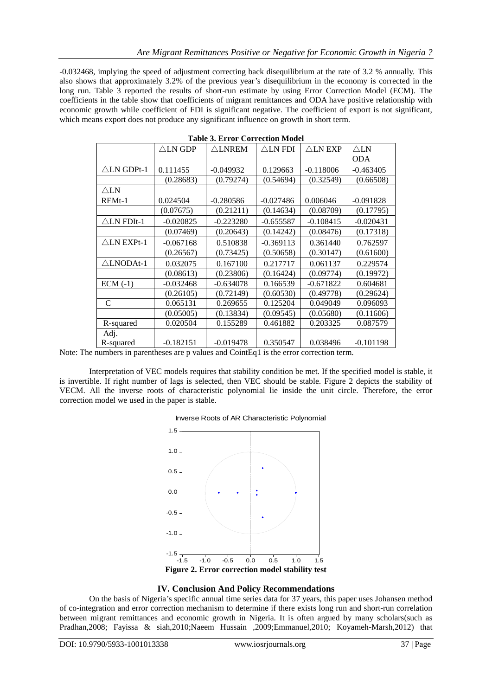-0.032468, implying the speed of adjustment correcting back disequilibrium at the rate of 3.2 % annually. This also shows that approximately 3.2% of the previous year's disequilibrium in the economy is corrected in the long run. Table 3 reported the results of short-run estimate by using Error Correction Model (ECM). The coefficients in the table show that coefficients of migrant remittances and ODA have positive relationship with economic growth while coefficient of FDI is significant negative. The coefficient of export is not significant, which means export does not produce any significant influence on growth in short term.

|                       | $\triangle$ LN GDP | $\triangle$ LNREM | $\triangle$ LN FDI | $\triangle$ LN EXP | $\triangle$ LN |
|-----------------------|--------------------|-------------------|--------------------|--------------------|----------------|
|                       |                    |                   |                    |                    | <b>ODA</b>     |
| $\triangle$ LN GDPt-1 | 0.111455           | $-0.049932$       | 0.129663           | $-0.118006$        | $-0.463405$    |
|                       | (0.28683)          | (0.79274)         | (0.54694)          | (0.32549)          | (0.66508)      |
| $\triangle$ LN        |                    |                   |                    |                    |                |
| $REMt-1$              | 0.024504           | $-0.280586$       | $-0.027486$        | 0.006046           | $-0.091828$    |
|                       | (0.07675)          | (0.21211)         | (0.14634)          | (0.08709)          | (0.17795)      |
| $\triangle$ LN FDIt-1 | $-0.020825$        | $-0.223280$       | $-0.655587$        | $-0.108415$        | $-0.020431$    |
|                       | (0.07469)          | (0.20643)         | (0.14242)          | (0.08476)          | (0.17318)      |
| $\triangle$ LN EXPt-1 | $-0.067168$        | 0.510838          | $-0.369113$        | 0.361440           | 0.762597       |
|                       | (0.26567)          | (0.73425)         | (0.50658)          | (0.30147)          | (0.61600)      |
| $\triangle LNODAt-1$  | 0.032075           | 0.167100          | 0.217717           | 0.061137           | 0.229574       |
|                       | (0.08613)          | (0.23806)         | (0.16424)          | (0.09774)          | (0.19972)      |
| $ECM(-1)$             | $-0.032468$        | $-0.634078$       | 0.166539           | $-0.671822$        | 0.604681       |
|                       | (0.26105)          | (0.72149)         | (0.60530)          | (0.49778)          | (0.29624)      |
| C                     | 0.065131           | 0.269655          | 0.125204           | 0.049049           | 0.096093       |
|                       | (0.05005)          | (0.13834)         | (0.09545)          | (0.05680)          | (0.11606)      |
| R-squared             | 0.020504           | 0.155289          | 0.461882           | 0.203325           | 0.087579       |
| Adj.                  |                    |                   |                    |                    |                |
| R-squared             | $-0.182151$        | $-0.019478$       | 0.350547           | 0.038496           | $-0.101198$    |

Note: The numbers in parentheses are p values and CointEq1 is the error correction term.

Interpretation of VEC models requires that stability condition be met. If the specified model is stable, it is invertible. If right number of lags is selected, then VEC should be stable. Figure 2 depicts the stability of VECM. All the inverse roots of characteristic polynomial lie inside the unit circle. Therefore, the error correction model we used in the paper is stable.





### **IV. Conclusion And Policy Recommendations**

On the basis of Nigeria's specific annual time series data for 37 years, this paper uses Johansen method of co-integration and error correction mechanism to determine if there exists long run and short-run correlation between migrant remittances and economic growth in Nigeria. It is often argued by many scholars(such as Pradhan,2008; Fayissa & siah,2010;Naeem Hussain ,2009;Emmanuel,2010; Koyameh-Marsh,2012) that